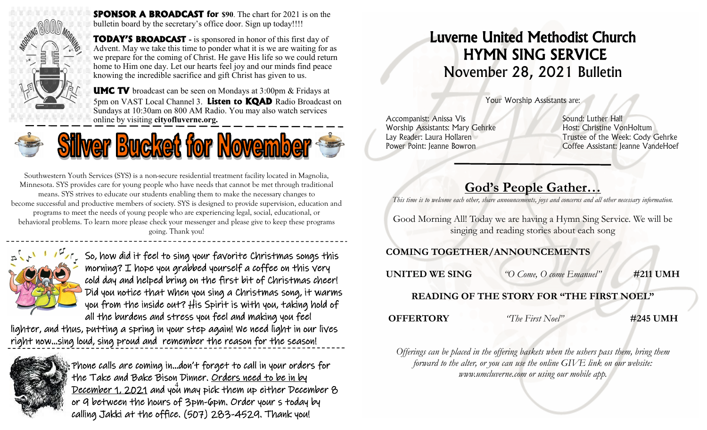

**SPONSOR A BROADCAST for \$90**. The chart for 2021 is on the bulletin board by the secretary's office door. Sign up today!!!!

**TODAY'S BROADCAST -** is sponsored in honor of this first day of Advent. May we take this time to ponder what it is we are waiting for as we prepare for the coming of Christ. He gave His life so we could return home to Him one day. Let our hearts feel joy and our minds find peace knowing the incredible sacrifice and gift Christ has given to us.

**UMC TV** broadcast can be seen on Mondays at 3:00pm & Fridays at 5pm on VAST Local Channel 3. **Listen to KQAD** Radio Broadcast on Sundays at 10:30am on 800 AM Radio. You may also watch services online by visiting **cityofluverne.org.**





Southwestern Youth Services (SYS) is a non-secure residential treatment facility located in Magnolia, Minnesota. SYS provides care for young people who have needs that cannot be met through traditional means. SYS strives to educate our students enabling them to make the necessary changes to become successful and productive members of society. SYS is designed to provide supervision, education and programs to meet the needs of young people who are experiencing legal, social, educational, or

behavioral problems. To learn more please check your messenger and please give to keep these programs going. Thank you!



So, how did it feel to sing your favorite Christmas songs this morning? I hope you grabbed yourself a coffee on this very cold day and helped bring on the first bit of Christmas cheer! Did you notice that When you sing a Christmas song, it warms you from the inside out? His Spirit is with you, taking hold of all the burdens and stress you feel and making you feel

lighter, and thus, putting a spring in your step again! We need light in our lives right now...sing loud, sing proud and remember the reason for the season! ٦



December 1, 2021 and you may pick them up either December 8 Phone calls are coming in...don't forget to call in your orders for the Take and Bake Bison Dinner. Orders need to be in by or 9 between the hours of 3pm-6pm. Order your s today by calling Jakki at the office. (507) 283-4529. Thank you!

# Luverne United Methodist Church HYMN SING SERVICE November 28, 2021 Bulletin

Your Worship Assistants are:

Accompanist: Anissa Vis New York Sound: Luther Hall Worship Assistants: Mary Gehrke Host: Christine VonHoltum

Lay Reader: Laura Hollaren Trustee of the Week: Cody Gehrke Power Point: Jeanne Bowron Coffee Assistant: Jeanne VandeHoef

# **God's People Gather…**

*This time is to welcome each other, share announcements, joys and concerns and all other necessary information.*

Good Morning All! Today we are having a Hymn Sing Service. We will be singing and reading stories about each song

## **COMING TOGETHER/ANNOUNCEMENTS**

**UNITED WE SING** *"O Come, O come Emanuel"* **#211 UMH**

## **READING OF THE STORY FOR "THE FIRST NOEL"**

**OFFERTORY** *"The First Noel"* **#245 UMH**

*Offerings can be placed in the offering baskets when the ushers pass them, bring them forward to the alter, or you can use the online GIVE link on our website: www.umcluverne.com or using our mobile app.*